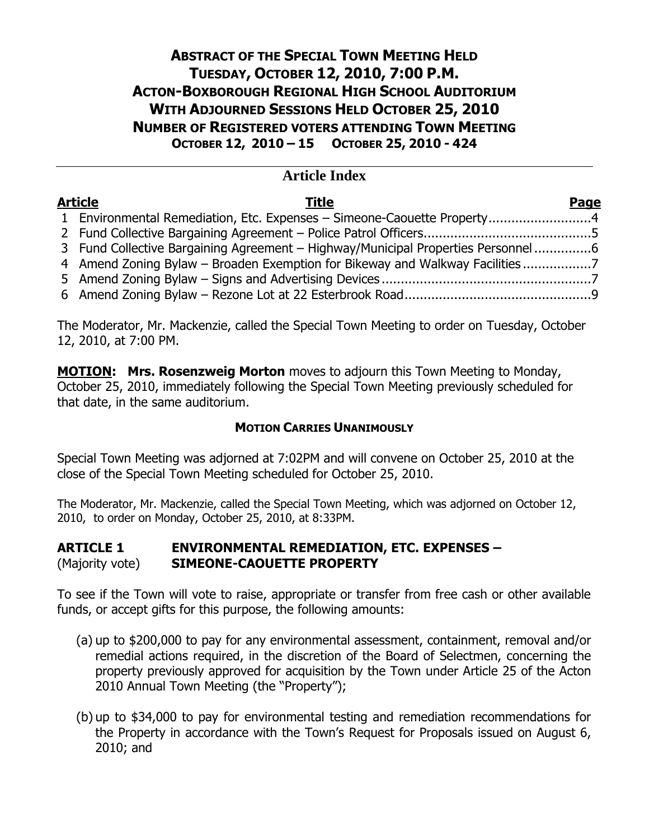## **ABSTRACT OF THE SPECIAL TOWN MEETING HELD TUESDAY, OCTOBER 12, 2010, 7:00 P.M. ACTON-BOXBOROUGH REGIONAL HIGH SCHOOL AUDITORIUM WITH ADJOURNED SESSIONS HELD OCTOBER 25, 2010 NUMBER OF REGISTERED VOTERS ATTENDING TOWN MEETING OCTOBER 12, 2010 – 15 OCTOBER 25, 2010 - 424**

## **Article Index**

| Page                                                                                                                                                                                                                                                                   |
|------------------------------------------------------------------------------------------------------------------------------------------------------------------------------------------------------------------------------------------------------------------------|
|                                                                                                                                                                                                                                                                        |
|                                                                                                                                                                                                                                                                        |
|                                                                                                                                                                                                                                                                        |
|                                                                                                                                                                                                                                                                        |
|                                                                                                                                                                                                                                                                        |
|                                                                                                                                                                                                                                                                        |
| Article<br><b>Title</b><br>1 Environmental Remediation, Etc. Expenses - Simeone-Caouette Property4<br>3 Fund Collective Bargaining Agreement - Highway/Municipal Properties Personnel6<br>4 Amend Zoning Bylaw – Broaden Exemption for Bikeway and Walkway Facilities7 |

The Moderator, Mr. Mackenzie, called the Special Town Meeting to order on Tuesday, October 12, 2010, at 7:00 PM.

**MOTION: Mrs. Rosenzweig Morton** moves to adjourn this Town Meeting to Monday, October 25, 2010, immediately following the Special Town Meeting previously scheduled for that date, in the same auditorium.

## **MOTION CARRIES UNANIMOUSLY**

Special Town Meeting was adjorned at 7:02PM and will convene on October 25, 2010 at the close of the Special Town Meeting scheduled for October 25, 2010.

The Moderator, Mr. Mackenzie, called the Special Town Meeting, which was adjorned on October 12, 2010, to order on Monday, October 25, 2010, at 8:33PM.

#### **ARTICLE 1 ENVIRONMENTAL REMEDIATION, ETC. EXPENSES –** (Majority vote) **SIMEONE-CAOUETTE PROPERTY**

To see if the Town will vote to raise, appropriate or transfer from free cash or other available funds, or accept gifts for this purpose, the following amounts:

- (a) up to \$200,000 to pay for any environmental assessment, containment, removal and/or remedial actions required, in the discretion of the Board of Selectmen, concerning the property previously approved for acquisition by the Town under Article 25 of the Acton 2010 Annual Town Meeting (the "Property");
- (b) up to \$34,000 to pay for environmental testing and remediation recommendations for the Property in accordance with the Town's Request for Proposals issued on August 6, 2010; and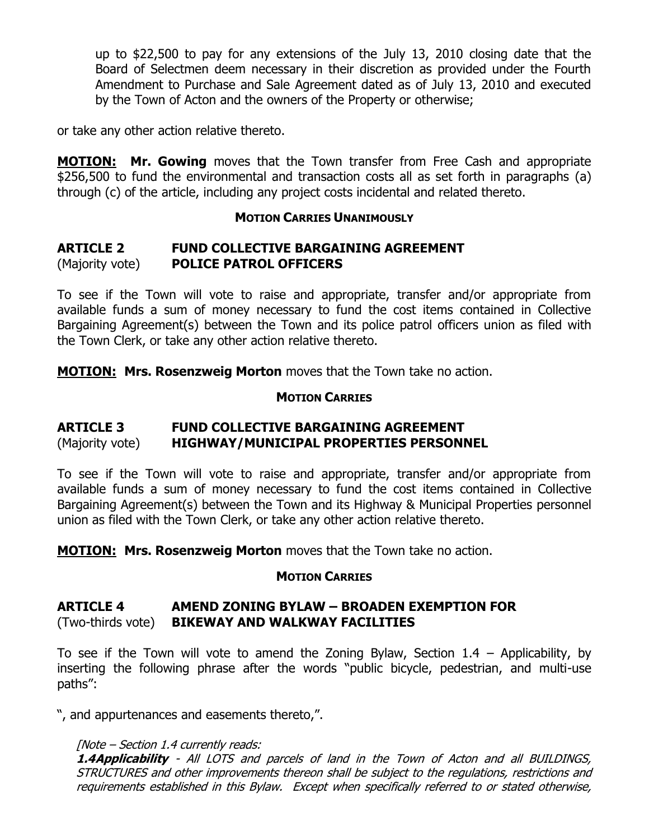up to \$22,500 to pay for any extensions of the July 13, 2010 closing date that the Board of Selectmen deem necessary in their discretion as provided under the Fourth Amendment to Purchase and Sale Agreement dated as of July 13, 2010 and executed by the Town of Acton and the owners of the Property or otherwise;

or take any other action relative thereto.

**MOTION: Mr. Gowing** moves that the Town transfer from Free Cash and appropriate \$256,500 to fund the environmental and transaction costs all as set forth in paragraphs (a) through (c) of the article, including any project costs incidental and related thereto.

#### **MOTION CARRIES UNANIMOUSLY**

#### **ARTICLE 2 FUND COLLECTIVE BARGAINING AGREEMENT** (Majority vote) **POLICE PATROL OFFICERS**

To see if the Town will vote to raise and appropriate, transfer and/or appropriate from available funds a sum of money necessary to fund the cost items contained in Collective Bargaining Agreement(s) between the Town and its police patrol officers union as filed with the Town Clerk, or take any other action relative thereto.

**MOTION: Mrs. Rosenzweig Morton** moves that the Town take no action.

### **MOTION CARRIES**

### **ARTICLE 3 FUND COLLECTIVE BARGAINING AGREEMENT** (Majority vote) **HIGHWAY/MUNICIPAL PROPERTIES PERSONNEL**

To see if the Town will vote to raise and appropriate, transfer and/or appropriate from available funds a sum of money necessary to fund the cost items contained in Collective Bargaining Agreement(s) between the Town and its Highway & Municipal Properties personnel union as filed with the Town Clerk, or take any other action relative thereto.

**MOTION: Mrs. Rosenzweig Morton** moves that the Town take no action.

#### **MOTION CARRIES**

### **ARTICLE 4 AMEND ZONING BYLAW – BROADEN EXEMPTION FOR** (Two-thirds vote) **BIKEWAY AND WALKWAY FACILITIES**

To see if the Town will vote to amend the Zoning Bylaw, Section  $1.4$  – Applicability, by inserting the following phrase after the words "public bicycle, pedestrian, and multi-use paths":

", and appurtenances and easements thereto,".

#### [Note – Section 1.4 currently reads:

**1.4Applicability** - All LOTS and parcels of land in the Town of Acton and all BUILDINGS, STRUCTURES and other improvements thereon shall be subject to the regulations, restrictions and requirements established in this Bylaw. Except when specifically referred to or stated otherwise,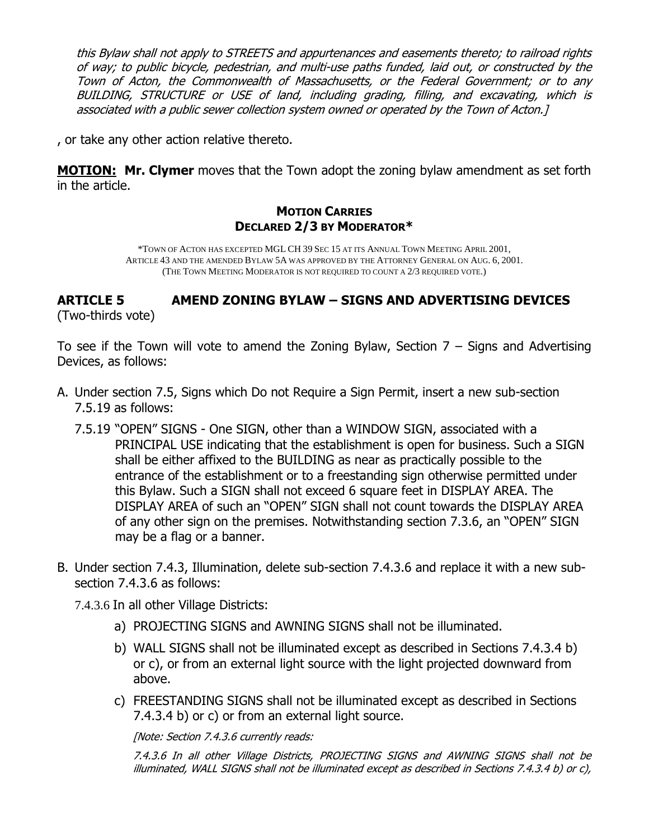this Bylaw shall not apply to STREETS and appurtenances and easements thereto; to railroad rights of way; to public bicycle, pedestrian, and multi-use paths funded, laid out, or constructed by the Town of Acton, the Commonwealth of Massachusetts, or the Federal Government; or to any BUILDING, STRUCTURE or USE of land, including grading, filling, and excavating, which is associated with a public sewer collection system owned or operated by the Town of Acton.]

, or take any other action relative thereto.

**MOTION: Mr. Clymer** moves that the Town adopt the zoning bylaw amendment as set forth in the article.

#### **MOTION CARRIES DECLARED 2/3 BY MODERATOR\***

\*TOWN OF ACTON HAS EXCEPTED MGL CH 39 SEC 15 AT ITS ANNUAL TOWN MEETING APRIL 2001, ARTICLE 43 AND THE AMENDED BYLAW 5A WAS APPROVED BY THE ATTORNEY GENERAL ON AUG. 6, 2001. (THE TOWN MEETING MODERATOR IS NOT REQUIRED TO COUNT A 2/3 REQUIRED VOTE.)

# **ARTICLE 5 AMEND ZONING BYLAW – SIGNS AND ADVERTISING DEVICES**

(Two-thirds vote)

To see if the Town will vote to amend the Zoning Bylaw, Section  $7 -$  Signs and Advertising Devices, as follows:

- A. Under section 7.5, Signs which Do not Require a Sign Permit, insert a new sub-section 7.5.19 as follows:
	- 7.5.19 "OPEN" SIGNS One SIGN, other than a WINDOW SIGN, associated with a PRINCIPAL USE indicating that the establishment is open for business. Such a SIGN shall be either affixed to the BUILDING as near as practically possible to the entrance of the establishment or to a freestanding sign otherwise permitted under this Bylaw. Such a SIGN shall not exceed 6 square feet in DISPLAY AREA. The DISPLAY AREA of such an "OPEN" SIGN shall not count towards the DISPLAY AREA of any other sign on the premises. Notwithstanding section 7.3.6, an "OPEN" SIGN may be a flag or a banner.
- B. Under section 7.4.3, Illumination, delete sub-section 7.4.3.6 and replace it with a new subsection 7.4.3.6 as follows:

7.4.3.6 In all other Village Districts:

- a) PROJECTING SIGNS and AWNING SIGNS shall not be illuminated.
- b) WALL SIGNS shall not be illuminated except as described in Sections 7.4.3.4 b) or c), or from an external light source with the light projected downward from above.
- c) FREESTANDING SIGNS shall not be illuminated except as described in Sections 7.4.3.4 b) or c) or from an external light source.

[Note: Section 7.4.3.6 currently reads:

7.4.3.6 In all other Village Districts, PROJECTING SIGNS and AWNING SIGNS shall not be illuminated, WALL SIGNS shall not be illuminated except as described in Sections 7.4.3.4 b) or c),